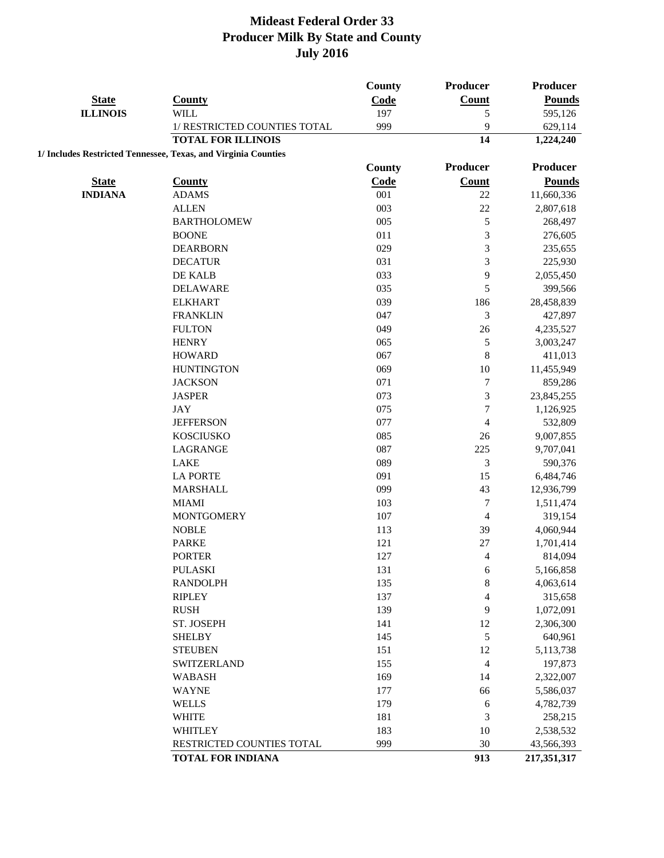|                 |                                                                | <b>County</b> | Producer                 | <b>Producer</b> |
|-----------------|----------------------------------------------------------------|---------------|--------------------------|-----------------|
| <b>State</b>    | <b>County</b>                                                  | Code          | <b>Count</b>             | <b>Pounds</b>   |
| <b>ILLINOIS</b> | <b>WILL</b>                                                    | 197           | 5                        | 595,126         |
|                 | 1/ RESTRICTED COUNTIES TOTAL                                   | 999           | 9                        | 629,114         |
|                 | <b>TOTAL FOR ILLINOIS</b>                                      |               | 14                       | 1,224,240       |
|                 | 1/ Includes Restricted Tennessee, Texas, and Virginia Counties |               |                          |                 |
|                 |                                                                | <b>County</b> | Producer                 | <b>Producer</b> |
| <b>State</b>    | <b>County</b>                                                  | Code          | <b>Count</b>             | <b>Pounds</b>   |
| <b>INDIANA</b>  | <b>ADAMS</b>                                                   | 001           | 22                       | 11,660,336      |
|                 | <b>ALLEN</b>                                                   | 003           | 22                       | 2,807,618       |
|                 | <b>BARTHOLOMEW</b>                                             | 005           | 5                        | 268,497         |
|                 | <b>BOONE</b>                                                   | 011           | 3                        | 276,605         |
|                 | <b>DEARBORN</b>                                                | 029           | 3                        | 235,655         |
|                 | <b>DECATUR</b>                                                 | 031           | 3                        | 225,930         |
|                 | DE KALB                                                        | 033           | 9                        | 2,055,450       |
|                 | <b>DELAWARE</b>                                                | 035           | 5                        | 399,566         |
|                 | <b>ELKHART</b>                                                 | 039           | 186                      | 28,458,839      |
|                 | <b>FRANKLIN</b>                                                | 047           | 3                        | 427,897         |
|                 | <b>FULTON</b>                                                  | 049           | 26                       | 4,235,527       |
|                 | <b>HENRY</b>                                                   | 065           | 5                        | 3,003,247       |
|                 | <b>HOWARD</b>                                                  | 067           | 8                        | 411,013         |
|                 | <b>HUNTINGTON</b>                                              | 069           | 10                       | 11,455,949      |
|                 | <b>JACKSON</b>                                                 | 071           | $\overline{7}$           | 859,286         |
|                 | <b>JASPER</b>                                                  | 073           | 3                        | 23,845,255      |
|                 | <b>JAY</b>                                                     | 075           | $\overline{7}$           | 1,126,925       |
|                 | <b>JEFFERSON</b>                                               | 077           | 4                        | 532,809         |
|                 | <b>KOSCIUSKO</b>                                               | 085           | 26                       | 9,007,855       |
|                 | LAGRANGE                                                       | 087           | 225                      | 9,707,041       |
|                 | <b>LAKE</b>                                                    | 089           | 3                        | 590,376         |
|                 | <b>LA PORTE</b>                                                | 091           | 15                       | 6,484,746       |
|                 | <b>MARSHALL</b>                                                | 099           | 43                       | 12,936,799      |
|                 | <b>MIAMI</b>                                                   | 103           | $\tau$                   | 1,511,474       |
|                 | <b>MONTGOMERY</b>                                              | 107           | 4                        | 319,154         |
|                 | <b>NOBLE</b>                                                   | 113           | 39                       | 4,060,944       |
|                 | <b>PARKE</b>                                                   | 121           | 27                       | 1,701,414       |
|                 | <b>PORTER</b>                                                  | 127           | 4                        | 814,094         |
|                 | <b>PULASKI</b>                                                 | 131           | 6                        | 5,166,858       |
|                 | <b>RANDOLPH</b>                                                | 135           | 8                        | 4,063,614       |
|                 | <b>RIPLEY</b>                                                  | 137           | 4                        | 315,658         |
|                 | <b>RUSH</b>                                                    | 139           | 9                        | 1,072,091       |
|                 | ST. JOSEPH                                                     | 141           | 12                       | 2,306,300       |
|                 | <b>SHELBY</b>                                                  | 145           | 5                        | 640,961         |
|                 | <b>STEUBEN</b>                                                 | 151           | 12                       | 5,113,738       |
|                 | <b>SWITZERLAND</b>                                             | 155           | $\overline{\mathcal{L}}$ | 197,873         |
|                 | WABASH                                                         | 169           | 14                       | 2,322,007       |
|                 | <b>WAYNE</b>                                                   | 177           | 66                       | 5,586,037       |
|                 | <b>WELLS</b>                                                   | 179           | 6                        | 4,782,739       |
|                 | <b>WHITE</b>                                                   | 181           | 3                        | 258,215         |
|                 | <b>WHITLEY</b>                                                 | 183           | 10                       | 2,538,532       |
|                 | RESTRICTED COUNTIES TOTAL                                      | 999           | 30                       | 43,566,393      |
|                 | <b>TOTAL FOR INDIANA</b>                                       |               | 913                      | 217,351,317     |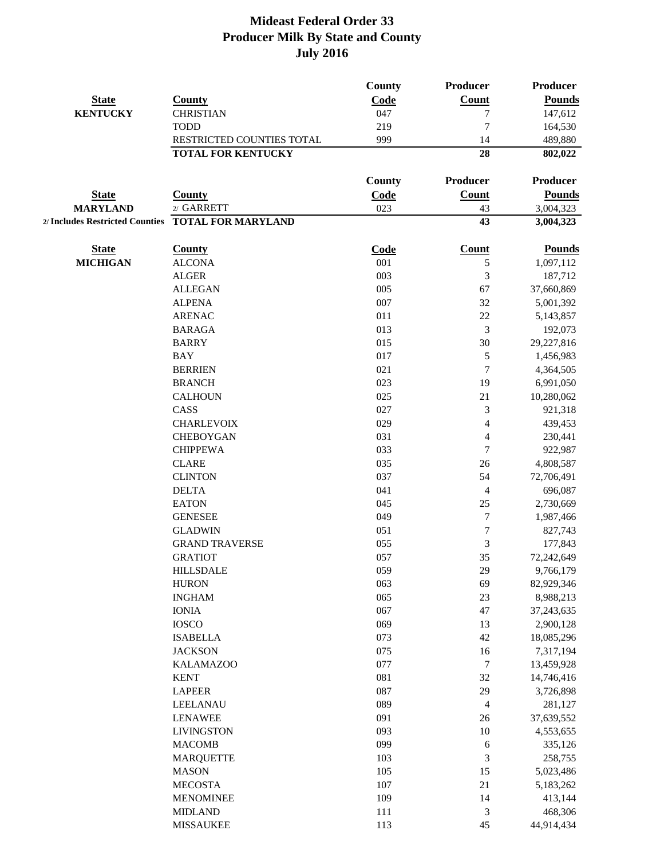|                 |                                                    | <b>County</b> | Producer         | <b>Producer</b> |
|-----------------|----------------------------------------------------|---------------|------------------|-----------------|
| <b>State</b>    | <b>County</b>                                      | Code          | <b>Count</b>     | <b>Pounds</b>   |
| <b>KENTUCKY</b> | <b>CHRISTIAN</b>                                   | 047           | 7                | 147,612         |
|                 | <b>TODD</b>                                        | 219           | $\overline{7}$   | 164,530         |
|                 | RESTRICTED COUNTIES TOTAL                          | 999           | 14               | 489,880         |
|                 | <b>TOTAL FOR KENTUCKY</b>                          |               | 28               | 802,022         |
|                 |                                                    | <b>County</b> | Producer         | Producer        |
| <b>State</b>    | <b>County</b>                                      | Code          | Count            | <b>Pounds</b>   |
| <b>MARYLAND</b> | 2/ GARRETT                                         | 023           | 43               | 3,004,323       |
|                 | 2/ Includes Restricted Counties TOTAL FOR MARYLAND |               | 43               | 3,004,323       |
| <b>State</b>    | <b>County</b>                                      | Code          | <b>Count</b>     | <b>Pounds</b>   |
| <b>MICHIGAN</b> | <b>ALCONA</b>                                      | 001           | 5                | 1,097,112       |
|                 | <b>ALGER</b>                                       | 003           | 3                | 187,712         |
|                 | <b>ALLEGAN</b>                                     | 005           | 67               | 37,660,869      |
|                 | <b>ALPENA</b>                                      | 007           | 32               | 5,001,392       |
|                 | <b>ARENAC</b>                                      | 011           | 22               | 5,143,857       |
|                 | <b>BARAGA</b>                                      | 013           | 3                | 192,073         |
|                 | <b>BARRY</b>                                       | 015           | 30               | 29,227,816      |
|                 | <b>BAY</b>                                         | 017           | $\mathfrak s$    | 1,456,983       |
|                 | <b>BERRIEN</b>                                     | 021           | $\tau$           | 4,364,505       |
|                 | <b>BRANCH</b>                                      | 023           | 19               | 6,991,050       |
|                 | <b>CALHOUN</b>                                     | 025           | 21               | 10,280,062      |
|                 | CASS                                               | 027           | 3                | 921,318         |
|                 | <b>CHARLEVOIX</b>                                  | 029           | $\overline{4}$   | 439,453         |
|                 | <b>CHEBOYGAN</b>                                   | 031           | $\overline{4}$   | 230,441         |
|                 | <b>CHIPPEWA</b>                                    | 033           | $\overline{7}$   | 922,987         |
|                 | <b>CLARE</b>                                       | 035           | 26               | 4,808,587       |
|                 | <b>CLINTON</b>                                     | 037           | 54               | 72,706,491      |
|                 | <b>DELTA</b>                                       | 041           | $\overline{4}$   | 696,087         |
|                 | <b>EATON</b>                                       | 045           | 25               | 2,730,669       |
|                 | <b>GENESEE</b>                                     | 049           | $\boldsymbol{7}$ | 1,987,466       |
|                 | <b>GLADWIN</b>                                     | 051           | $\tau$           | 827,743         |
|                 | <b>GRAND TRAVERSE</b>                              | 055           | 3                | 177,843         |
|                 | <b>GRATIOT</b>                                     | 057           | 35               | 72,242,649      |
|                 | <b>HILLSDALE</b>                                   | 059           | 29               | 9,766,179       |
|                 | <b>HURON</b>                                       | 063           | 69               | 82,929,346      |
|                 | <b>INGHAM</b>                                      | 065           | 23               | 8,988,213       |
|                 | <b>IONIA</b>                                       | 067           | 47               | 37,243,635      |
|                 | <b>IOSCO</b>                                       | 069           | 13               | 2,900,128       |
|                 | <b>ISABELLA</b>                                    | 073           | 42               | 18,085,296      |
|                 | <b>JACKSON</b>                                     | 075           | 16               | 7,317,194       |
|                 | <b>KALAMAZOO</b>                                   | 077           | $\boldsymbol{7}$ | 13,459,928      |
|                 | <b>KENT</b>                                        | 081           | 32               | 14,746,416      |
|                 | <b>LAPEER</b>                                      | 087           | 29               | 3,726,898       |
|                 | LEELANAU                                           | 089           | $\overline{4}$   | 281,127         |
|                 | <b>LENAWEE</b>                                     | 091           | $26\,$           | 37,639,552      |
|                 | <b>LIVINGSTON</b>                                  | 093           | 10               | 4,553,655       |
|                 | <b>MACOMB</b>                                      | 099           | 6                | 335,126         |
|                 | <b>MARQUETTE</b>                                   | 103           | $\mathfrak{Z}$   | 258,755         |
|                 | <b>MASON</b>                                       | 105           | 15               | 5,023,486       |
|                 | <b>MECOSTA</b>                                     | 107           | 21               | 5,183,262       |
|                 | <b>MENOMINEE</b>                                   | 109           | 14               | 413,144         |
|                 | <b>MIDLAND</b>                                     | 111           | 3                | 468,306         |
|                 | <b>MISSAUKEE</b>                                   | 113           | 45               | 44,914,434      |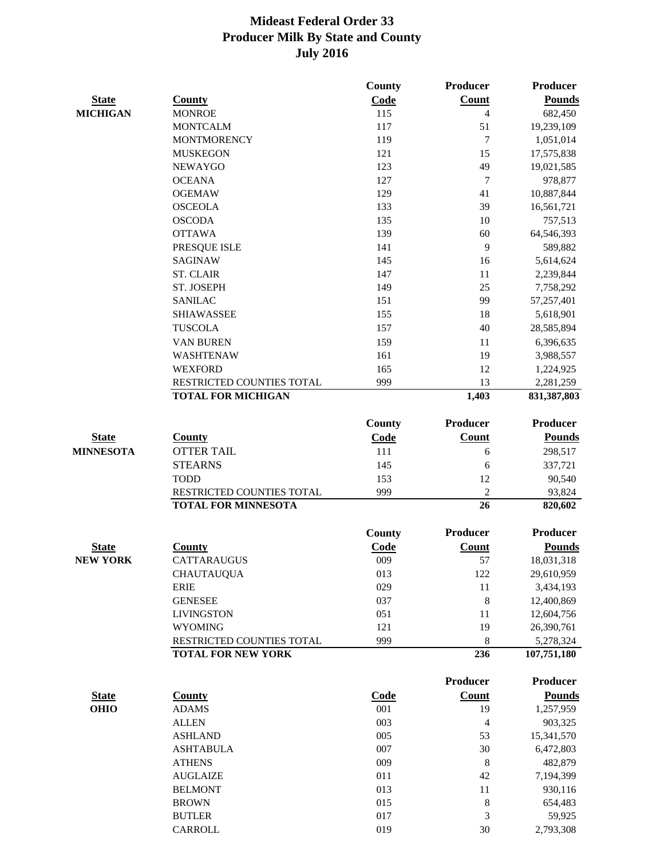|                  |                                                        | County        | Producer        | <b>Producer</b>          |
|------------------|--------------------------------------------------------|---------------|-----------------|--------------------------|
| <b>State</b>     | <b>County</b>                                          | Code          | Count           | <b>Pounds</b>            |
| <b>MICHIGAN</b>  | <b>MONROE</b>                                          | 115           | $\overline{4}$  | 682,450                  |
|                  | <b>MONTCALM</b>                                        | 117           | 51              | 19,239,109               |
|                  | <b>MONTMORENCY</b>                                     | 119           | 7               | 1,051,014                |
|                  | <b>MUSKEGON</b>                                        | 121           | 15              | 17,575,838               |
|                  | <b>NEWAYGO</b>                                         | 123           | 49              | 19,021,585               |
|                  | <b>OCEANA</b>                                          | 127           | $\overline{7}$  | 978,877                  |
|                  | <b>OGEMAW</b>                                          | 129           | 41              | 10,887,844               |
|                  | <b>OSCEOLA</b>                                         | 133           | 39              | 16,561,721               |
|                  | <b>OSCODA</b>                                          | 135           | 10              | 757,513                  |
|                  | <b>OTTAWA</b>                                          | 139           | 60              | 64,546,393               |
|                  | PRESQUE ISLE                                           | 141           | 9               | 589,882                  |
|                  | <b>SAGINAW</b>                                         | 145           | 16              | 5,614,624                |
|                  | <b>ST. CLAIR</b>                                       | 147           | 11              | 2,239,844                |
|                  | <b>ST. JOSEPH</b>                                      | 149           | 25              | 7,758,292                |
|                  | <b>SANILAC</b>                                         | 151           | 99              | 57,257,401               |
|                  | <b>SHIAWASSEE</b>                                      | 155           | 18              | 5,618,901                |
|                  | <b>TUSCOLA</b>                                         | 157           | 40              | 28,585,894               |
|                  | VAN BUREN                                              | 159           | 11              | 6,396,635                |
|                  | <b>WASHTENAW</b>                                       | 161           | 19              | 3,988,557                |
|                  | <b>WEXFORD</b>                                         | 165           | 12              | 1,224,925                |
|                  | RESTRICTED COUNTIES TOTAL                              | 999           | 13              | 2,281,259                |
|                  | <b>TOTAL FOR MICHIGAN</b>                              |               | 1,403           | 831, 387, 803            |
|                  |                                                        | County        | <b>Producer</b> | Producer                 |
| <b>State</b>     | <b>County</b>                                          | Code          | Count           | <b>Pounds</b>            |
| <b>MINNESOTA</b> | <b>OTTER TAIL</b>                                      | 111           | 6               | 298,517                  |
|                  | <b>STEARNS</b>                                         | 145           | 6               | 337,721                  |
|                  | <b>TODD</b>                                            | 153           | 12              | 90,540                   |
|                  | RESTRICTED COUNTIES TOTAL                              | 999           | $\overline{2}$  | 93,824                   |
|                  | <b>TOTAL FOR MINNESOTA</b>                             |               | 26              | 820,602                  |
|                  |                                                        | <b>County</b> | <b>Producer</b> | <b>Producer</b>          |
|                  | County                                                 |               | Count           |                          |
| <b>State</b>     |                                                        | Code          | 57              | <b>Pounds</b>            |
| <b>NEW YORK</b>  | CATTARAUGUS                                            | 009           |                 | 18,031,318               |
|                  | <b>CHAUTAUQUA</b>                                      | 013<br>029    | 122             | 29,610,959               |
|                  | <b>ERIE</b>                                            |               | $11\,$          | 3,434,193                |
|                  | <b>GENESEE</b>                                         | 037           | $\,$ 8 $\,$     | 12,400,869               |
|                  | <b>LIVINGSTON</b>                                      | 051           | 11              | 12,604,756               |
|                  | <b>WYOMING</b>                                         | 121           | 19              | 26,390,761               |
|                  | RESTRICTED COUNTIES TOTAL<br><b>TOTAL FOR NEW YORK</b> | 999           | $\,8\,$<br>236  | 5,278,324<br>107,751,180 |
|                  |                                                        |               |                 |                          |
|                  |                                                        |               | Producer        | <b>Producer</b>          |
| <b>State</b>     | <b>County</b>                                          | Code          | Count           | <b>Pounds</b>            |
| <b>OHIO</b>      | <b>ADAMS</b>                                           | 001           | 19              | 1,257,959                |
|                  | <b>ALLEN</b>                                           | 003           | 4               | 903,325                  |
|                  | <b>ASHLAND</b>                                         | 005           | 53              | 15,341,570               |
|                  | <b>ASHTABULA</b>                                       | 007           | 30              | 6,472,803                |
|                  | <b>ATHENS</b>                                          | 009           | 8               | 482,879                  |
|                  | <b>AUGLAIZE</b>                                        | 011           | 42              | 7,194,399                |
|                  | <b>BELMONT</b>                                         | 013           | 11              | 930,116                  |
|                  | <b>BROWN</b>                                           | 015           | $\,8\,$         | 654,483                  |
|                  | <b>BUTLER</b>                                          | 017           | 3               | 59,925                   |
|                  | CARROLL                                                | 019           | 30              | 2,793,308                |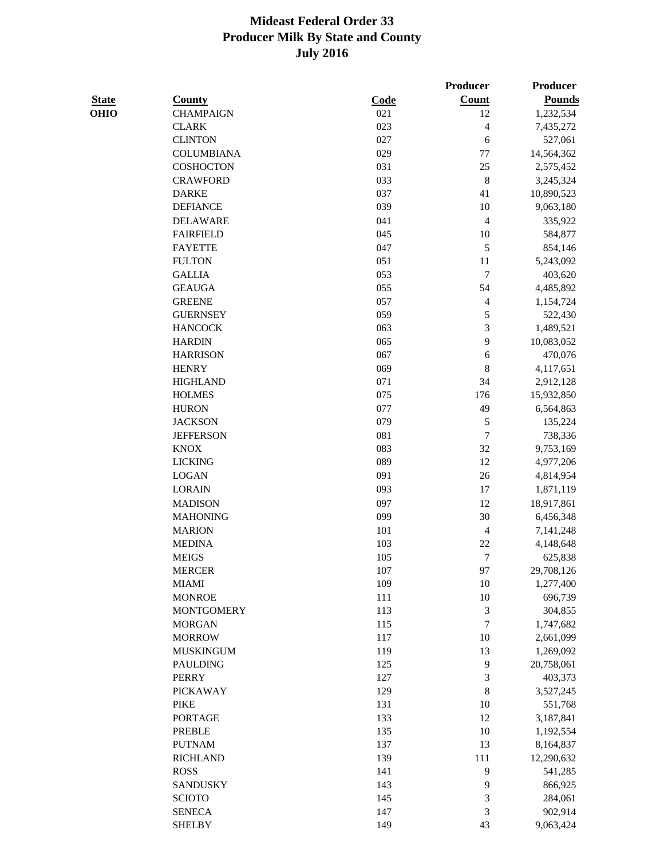**Producer Producer** 

| <b>State</b> | County            | Code | <b>Count</b>   | Pounds     |
|--------------|-------------------|------|----------------|------------|
| OHIO         | <b>CHAMPAIGN</b>  | 021  | 12             | 1,232,534  |
|              | <b>CLARK</b>      | 023  | 4              | 7,435,272  |
|              | <b>CLINTON</b>    | 027  | 6              | 527,061    |
|              | <b>COLUMBIANA</b> | 029  | $77 \,$        | 14,564,362 |
|              | COSHOCTON         | 031  | 25             | 2,575,452  |
|              | <b>CRAWFORD</b>   | 033  | $\,8\,$        | 3,245,324  |
|              | <b>DARKE</b>      | 037  | 41             | 10,890,523 |
|              | <b>DEFIANCE</b>   | 039  | 10             | 9,063,180  |
|              | <b>DELAWARE</b>   | 041  | $\overline{4}$ | 335,922    |
|              | <b>FAIRFIELD</b>  | 045  | 10             | 584,877    |
|              | <b>FAYETTE</b>    | 047  | 5              | 854,146    |
|              | <b>FULTON</b>     | 051  | 11             | 5,243,092  |
|              | <b>GALLIA</b>     | 053  | $\tau$         | 403,620    |
|              | <b>GEAUGA</b>     | 055  | 54             | 4,485,892  |
|              | <b>GREENE</b>     | 057  | 4              | 1,154,724  |
|              | <b>GUERNSEY</b>   | 059  | 5              | 522,430    |
|              | <b>HANCOCK</b>    | 063  | 3              | 1,489,521  |
|              | <b>HARDIN</b>     | 065  | 9              | 10,083,052 |
|              | <b>HARRISON</b>   | 067  | 6              | 470,076    |
|              | <b>HENRY</b>      | 069  | 8              | 4,117,651  |
|              | <b>HIGHLAND</b>   | 071  | 34             | 2,912,128  |
|              | <b>HOLMES</b>     | 075  | 176            | 15,932,850 |
|              | <b>HURON</b>      | 077  | 49             | 6,564,863  |
|              | <b>JACKSON</b>    | 079  | 5              | 135,224    |
|              | <b>JEFFERSON</b>  | 081  | 7              | 738,336    |
|              | <b>KNOX</b>       | 083  | 32             | 9,753,169  |
|              | <b>LICKING</b>    | 089  | 12             | 4,977,206  |
|              | <b>LOGAN</b>      | 091  | 26             | 4,814,954  |
|              | <b>LORAIN</b>     | 093  | $17\,$         | 1,871,119  |
|              | <b>MADISON</b>    | 097  | 12             | 18,917,861 |
|              | <b>MAHONING</b>   | 099  | 30             | 6,456,348  |
|              | <b>MARION</b>     | 101  | $\overline{4}$ | 7,141,248  |
|              | <b>MEDINA</b>     | 103  | 22             | 4,148,648  |
|              | <b>MEIGS</b>      | 105  | $\overline{7}$ | 625,838    |
|              | <b>MERCER</b>     | 107  | 97             | 29,708,126 |
|              | MIAMI             | 109  | 10             | 1,277,400  |
|              | <b>MONROE</b>     | 111  | 10             | 696,739    |
|              | <b>MONTGOMERY</b> | 113  | 3              | 304,855    |
|              | <b>MORGAN</b>     | 115  | 7              | 1,747,682  |
|              | <b>MORROW</b>     | 117  | $10\,$         | 2,661,099  |
|              | <b>MUSKINGUM</b>  | 119  | 13             | 1,269,092  |
|              | <b>PAULDING</b>   | 125  | 9              | 20,758,061 |
|              | <b>PERRY</b>      | 127  | 3              | 403,373    |
|              | <b>PICKAWAY</b>   | 129  | 8              | 3,527,245  |
|              | <b>PIKE</b>       | 131  | 10             | 551,768    |
|              | <b>PORTAGE</b>    | 133  | 12             | 3,187,841  |
|              | <b>PREBLE</b>     | 135  | 10             | 1,192,554  |
|              | <b>PUTNAM</b>     | 137  | 13             | 8,164,837  |
|              | <b>RICHLAND</b>   | 139  | 111            | 12,290,632 |
|              |                   |      |                |            |

ROSS 141 9 541,285 SANDUSKY 143 9 866,925 SCIOTO 145 3 284,061 SENECA 147 3 902,914 SHELBY 149 43 9,063,424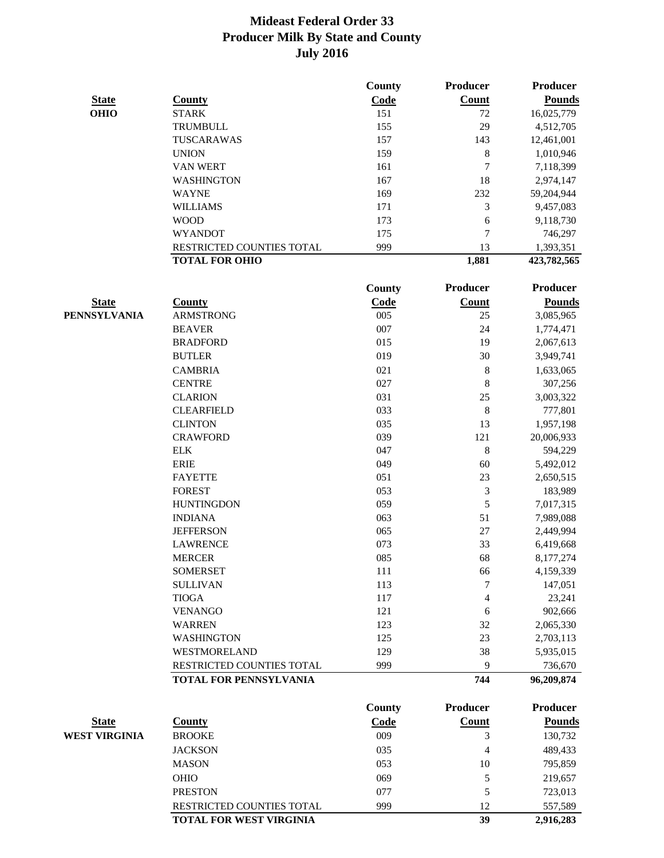|                      |                                           | County     | Producer     | Producer              |
|----------------------|-------------------------------------------|------------|--------------|-----------------------|
| <b>State</b>         | <b>County</b>                             | Code       | Count        | <b>Pounds</b>         |
| <b>OHIO</b>          | <b>STARK</b>                              | 151        | 72           | 16,025,779            |
|                      | TRUMBULL                                  | 155        | 29           | 4,512,705             |
|                      | TUSCARAWAS                                | 157        | 143          | 12,461,001            |
|                      | <b>UNION</b>                              | 159        | 8            | 1,010,946             |
|                      | <b>VAN WERT</b>                           | 161        | 7            | 7,118,399             |
|                      | <b>WASHINGTON</b>                         | 167        | 18           | 2,974,147             |
|                      | <b>WAYNE</b>                              | 169        | 232          | 59,204,944            |
|                      | <b>WILLIAMS</b>                           | 171        | 3            | 9,457,083             |
|                      | <b>WOOD</b>                               | 173        | 6            | 9,118,730             |
|                      | <b>WYANDOT</b>                            | 175        | 7            | 746,297               |
|                      | RESTRICTED COUNTIES TOTAL                 | 999        | 13           | 1,393,351             |
|                      | <b>TOTAL FOR OHIO</b>                     |            | 1,881        | 423,782,565           |
|                      |                                           | County     | Producer     | Producer              |
| <b>State</b>         | <b>County</b>                             | Code       | <b>Count</b> | <b>Pounds</b>         |
| <b>PENNSYLVANIA</b>  | <b>ARMSTRONG</b>                          | 005        | 25           | 3,085,965             |
|                      | <b>BEAVER</b>                             | 007        | 24           | 1,774,471             |
|                      | <b>BRADFORD</b>                           | 015        | 19           | 2,067,613             |
|                      | <b>BUTLER</b>                             | 019        | 30           | 3,949,741             |
|                      | <b>CAMBRIA</b>                            | 021        | $\,$ 8 $\,$  | 1,633,065             |
|                      | <b>CENTRE</b>                             | 027        | $\,$ 8 $\,$  | 307,256               |
|                      | <b>CLARION</b>                            | 031        | 25           | 3,003,322             |
|                      | <b>CLEARFIELD</b>                         | 033        | $\,8\,$      | 777,801               |
|                      | <b>CLINTON</b>                            | 035        | 13           | 1,957,198             |
|                      | <b>CRAWFORD</b>                           | 039        | 121          | 20,006,933            |
|                      | <b>ELK</b>                                | 047        | $\,8\,$      | 594,229               |
|                      | <b>ERIE</b>                               | 049        | 60           | 5,492,012             |
|                      | <b>FAYETTE</b>                            | 051        | 23           | 2,650,515             |
|                      | <b>FOREST</b>                             | 053        | 3            | 183,989               |
|                      | <b>HUNTINGDON</b>                         | 059        | 5            | 7,017,315             |
|                      | <b>INDIANA</b>                            | 063        | 51           | 7,989,088             |
|                      | <b>JEFFERSON</b>                          | 065        | $27\,$       | 2,449,994             |
|                      | <b>LAWRENCE</b>                           | 073        | 33           | 6,419,668             |
|                      | <b>MERCER</b>                             | 085        | 68           | 8,177,274             |
|                      | <b>SOMERSET</b>                           | 111        |              | 4,159,339             |
|                      | <b>SULLIVAN</b>                           | 113        | 66<br>7      | 147,051               |
|                      | <b>TIOGA</b>                              | 117        | 4            | 23,241                |
|                      | <b>VENANGO</b>                            | 121        |              | 902,666               |
|                      |                                           |            | 6            |                       |
|                      | <b>WARREN</b>                             | 123        | 32           | 2,065,330             |
|                      | <b>WASHINGTON</b>                         | 125        | 23           | 2,703,113             |
|                      | WESTMORELAND<br>RESTRICTED COUNTIES TOTAL | 129<br>999 | 38<br>9      | 5,935,015             |
|                      | TOTAL FOR PENNSYLVANIA                    |            | 744          | 736,670<br>96,209,874 |
|                      |                                           | County     | Producer     | <b>Producer</b>       |
| <b>State</b>         | <b>County</b>                             | Code       | <b>Count</b> | <b>Pounds</b>         |
| <b>WEST VIRGINIA</b> | <b>BROOKE</b>                             | 009        |              |                       |
|                      |                                           |            | 3            | 130,732               |
|                      | <b>JACKSON</b>                            | 035        | 4            | 489,433               |
|                      | <b>MASON</b>                              | 053        | 10           | 795,859               |
|                      | OHIO                                      | 069        | 5            | 219,657               |
|                      | <b>PRESTON</b>                            | 077        | 5            | 723,013               |

RESTRICTED COUNTIES TOTAL 999 12 557,589 **TOTAL FOR WEST VIRGINIA 39** 2,916,283